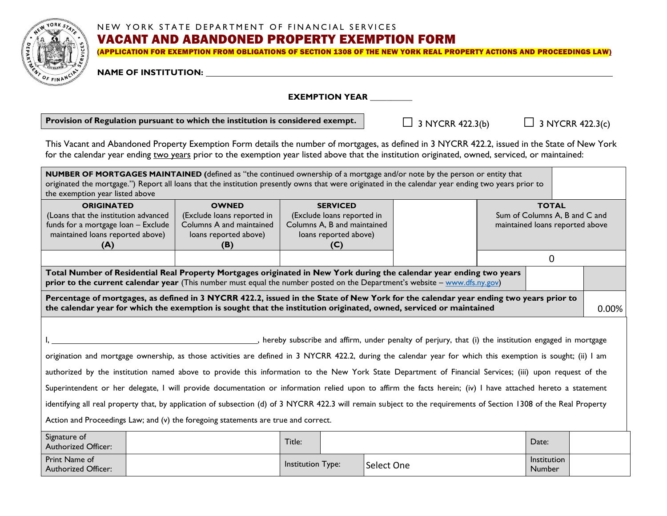

#### NEW YORK STATE DEPARTMENT OF FINANCIAL SERVICES

# VACANT AND ABANDONED PROPERTY EXEMPTION FORM

(APPLICATION FOR EXEMPTION FROM OBLIGATIONS OF SECTION 1308 OF THE NEW YORK REAL PROPERTY ACTIONS AND PROCEEDINGS LAW)

**NAME OF INSTITUTION:** 

**EXEMPTION YEAR** 

**Provision of Regulation pursuant to which the institution is considered exempt.**

 $\Box$  3 NYCRR 422.3(b)  $\Box$  3 NYCRR 422.3(c)

This Vacant and Abandoned Property Exemption Form details the number of mortgages, as defined in 3 NYCRR 422.2, issued in the State of New York for the calendar year ending two years prior to the exemption year listed above that the institution originated, owned, serviced, or maintained:

| NUMBER OF MORTGAGES MAINTAINED (defined as "the continued ownership of a mortgage and/or note by the person or entity that<br>originated the mortgage.") Report all loans that the institution presently owns that were originated in the calendar year ending two years prior to<br>the exemption year listed above                                                                                                                                                                                                                                                                                                                                                                                                                                                                                                                                        |                                                        |                   |                                                           |            |  |                                                                  |       |  |
|-------------------------------------------------------------------------------------------------------------------------------------------------------------------------------------------------------------------------------------------------------------------------------------------------------------------------------------------------------------------------------------------------------------------------------------------------------------------------------------------------------------------------------------------------------------------------------------------------------------------------------------------------------------------------------------------------------------------------------------------------------------------------------------------------------------------------------------------------------------|--------------------------------------------------------|-------------------|-----------------------------------------------------------|------------|--|------------------------------------------------------------------|-------|--|
| <b>ORIGINATED</b>                                                                                                                                                                                                                                                                                                                                                                                                                                                                                                                                                                                                                                                                                                                                                                                                                                           | <b>OWNED</b>                                           |                   | <b>SERVICED</b>                                           |            |  | <b>TOTAL</b>                                                     |       |  |
| (Loans that the institution advanced<br>funds for a mortgage loan - Exclude                                                                                                                                                                                                                                                                                                                                                                                                                                                                                                                                                                                                                                                                                                                                                                                 | (Exclude loans reported in<br>Columns A and maintained |                   | (Exclude loans reported in<br>Columns A, B and maintained |            |  | Sum of Columns A, B and C and<br>maintained loans reported above |       |  |
| maintained loans reported above)                                                                                                                                                                                                                                                                                                                                                                                                                                                                                                                                                                                                                                                                                                                                                                                                                            | loans reported above)                                  |                   | loans reported above)                                     |            |  |                                                                  |       |  |
| (A)                                                                                                                                                                                                                                                                                                                                                                                                                                                                                                                                                                                                                                                                                                                                                                                                                                                         | (B)                                                    |                   | (C)                                                       |            |  |                                                                  |       |  |
|                                                                                                                                                                                                                                                                                                                                                                                                                                                                                                                                                                                                                                                                                                                                                                                                                                                             |                                                        |                   |                                                           |            |  | $\Omega$                                                         |       |  |
| Total Number of Residential Real Property Mortgages originated in New York during the calendar year ending two years<br>prior to the current calendar year (This number must equal the number posted on the Department's website – www.dfs.ny.gov)                                                                                                                                                                                                                                                                                                                                                                                                                                                                                                                                                                                                          |                                                        |                   |                                                           |            |  |                                                                  |       |  |
| Percentage of mortgages, as defined in 3 NYCRR 422.2, issued in the State of New York for the calendar year ending two years prior to<br>the calendar year for which the exemption is sought that the institution originated, owned, serviced or maintained                                                                                                                                                                                                                                                                                                                                                                                                                                                                                                                                                                                                 |                                                        |                   |                                                           |            |  |                                                                  | 0.00% |  |
| hereby subscribe and affirm, under penalty of perjury, that (i) the institution engaged in mortgage<br>origination and mortgage ownership, as those activities are defined in 3 NYCRR 422.2, during the calendar year for which this exemption is sought; (ii) I am<br>authorized by the institution named above to provide this information to the New York State Department of Financial Services; (iii) upon request of the<br>Superintendent or her delegate, I will provide documentation or information relied upon to affirm the facts herein; (iv) I have attached hereto a statement<br>identifying all real property that, by application of subsection (d) of 3 NYCRR 422.3 will remain subject to the requirements of Section 1308 of the Real Property<br>Action and Proceedings Law; and $(v)$ the foregoing statements are true and correct. |                                                        |                   |                                                           |            |  |                                                                  |       |  |
| Signature of<br><b>Authorized Officer:</b>                                                                                                                                                                                                                                                                                                                                                                                                                                                                                                                                                                                                                                                                                                                                                                                                                  |                                                        | Title:            |                                                           |            |  | Date:                                                            |       |  |
| Print Name of<br><b>Authorized Officer:</b>                                                                                                                                                                                                                                                                                                                                                                                                                                                                                                                                                                                                                                                                                                                                                                                                                 |                                                        | Institution Type: |                                                           | Select One |  | Institution<br>Number                                            |       |  |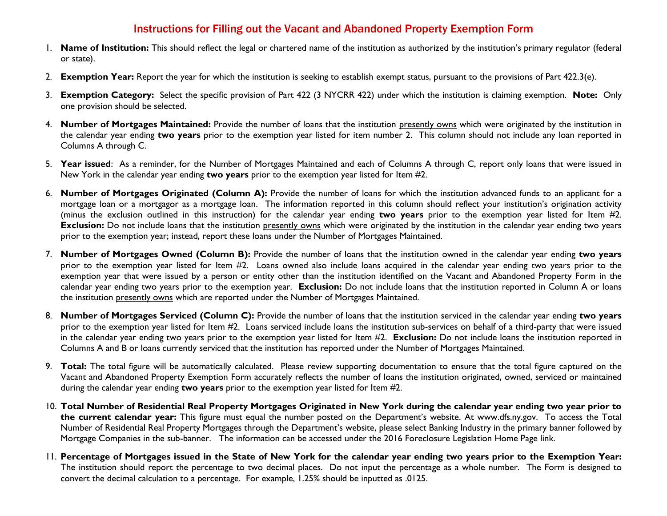# Instructions for Filling out the Vacant and Abandoned Property Exemption Form

- 1. **Name of Institution:** This should reflect the legal or chartered name of the institution as authorized by the institution's primary regulator (federal or state).
- 2. **Exemption Year:** Report the year for which the institution is seeking to establish exempt status, pursuant to the provisions of Part 422.3(e).
- 3. **Exemption Category:** Select the specific provision of Part 422 (3 NYCRR 422) under which the institution is claiming exemption. **Note:** Only one provision should be selected.
- 4. **Number of Mortgages Maintained:** Provide the number of loans that the institution presently owns which were originated by the institution in the calendar year ending **two years** prior to the exemption year listed for item number 2. This column should not include any loan reported in Columns A through C.
- 5. **Year issued**: As a reminder, for the Number of Mortgages Maintained and each of Columns A through C, report only loans that were issued in New York in the calendar year ending **two years** prior to the exemption year listed for Item #2.
- 6. **Number of Mortgages Originated (Column A):** Provide the number of loans for which the institution advanced funds to an applicant for a mortgage loan or a mortgagor as a mortgage loan. The information reported in this column should reflect your institution's origination activity (minus the exclusion outlined in this instruction) for the calendar year ending **two years** prior to the exemption year listed for Item #2. **Exclusion:** Do not include loans that the institution presently owns which were originated by the institution in the calendar year ending two years prior to the exemption year; instead, report these loans under the Number of Mortgages Maintained.
- 7. **Number of Mortgages Owned (Column B):** Provide the number of loans that the institution owned in the calendar year ending **two years**  prior to the exemption year listed for Item #2. Loans owned also include loans acquired in the calendar year ending two years prior to the exemption year that were issued by a person or entity other than the institution identified on the Vacant and Abandoned Property Form in the calendar year ending two years prior to the exemption year. **Exclusion:** Do not include loans that the institution reported in Column A or loans the institution presently owns which are reported under the Number of Mortgages Maintained.
- 8. **Number of Mortgages Serviced (Column C):** Provide the number of loans that the institution serviced in the calendar year ending **two years**  prior to the exemption year listed for Item #2. Loans serviced include loans the institution sub-services on behalf of a third-party that were issued in the calendar year ending two years prior to the exemption year listed for Item #2. **Exclusion:** Do not include loans the institution reported in Columns A and B or loans currently serviced that the institution has reported under the Number of Mortgages Maintained.
- 9. **Total:** The total figure will be automatically calculated. Please review supporting documentation to ensure that the total figure captured on the Vacant and Abandoned Property Exemption Form accurately reflects the number of loans the institution originated, owned, serviced or maintained during the calendar year ending **two years** prior to the exemption year listed for Item #2.
- 10. **Total Number of Residential Real Property Mortgages Originated in New York during the calendar year ending two year prior to the current calendar year:** This figure must equal the number posted on the Department's website. At www.dfs.ny.gov. To access the Total Number of Residential Real Property Mortgages through the Department's website, please select Banking Industry in the primary banner followed by Mortgage Companies in the sub-banner. The information can be accessed under the 2016 Foreclosure Legislation Home Page link.
- 11. **Percentage of Mortgages issued in the State of New York for the calendar year ending two years prior to the Exemption Year:**  The institution should report the percentage to two decimal places. Do not input the percentage as a whole number. The Form is designed to convert the decimal calculation to a percentage. For example, 1.25% should be inputted as .0125.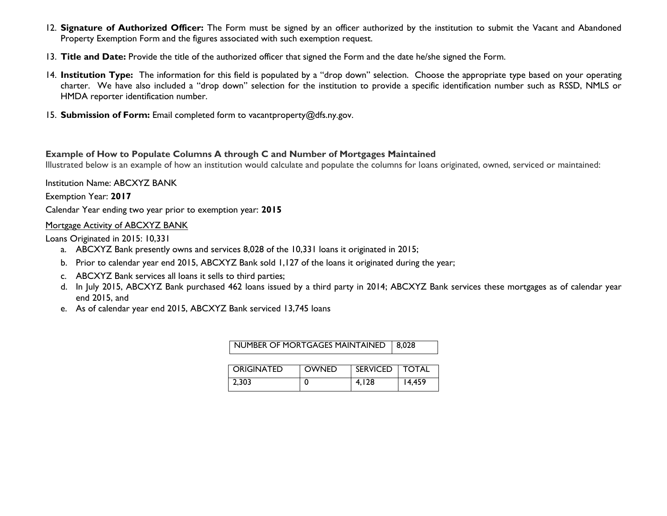- 12. **Signature of Authorized Officer:** The Form must be signed by an officer authorized by the institution to submit the Vacant and Abandoned Property Exemption Form and the figures associated with such exemption request.
- 13. **Title and Date:** Provide the title of the authorized officer that signed the Form and the date he/she signed the Form.
- 14. **Institution Type:** The information for this field is populated by a "drop down" selection. Choose the appropriate type based on your operating charter. We have also included a "drop down" selection for the institution to provide a specific identification number such as RSSD, NMLS or HMDA reporter identification number.
- 15. **Submission of Form:** Email completed form to vacantproperty@dfs.ny.gov.

#### **Example of How to Populate Columns A through C and Number of Mortgages Maintained**

Illustrated below is an example of how an institution would calculate and populate the columns for loans originated, owned, serviced or maintained:

Institution Name: ABCXYZ BANK

Exemption Year: **2017**

Calendar Year ending two year prior to exemption year: **2015**

### Mortgage Activity of ABCXYZ BANK

Loans Originated in 2015: 10,331

- a. ABCXYZ Bank presently owns and services 8,028 of the 10,331 loans it originated in 2015;
- b. Prior to calendar year end 2015, ABCXYZ Bank sold 1,127 of the loans it originated during the year;
- c. ABCXYZ Bank services all loans it sells to third parties;
- d. In July 2015, ABCXYZ Bank purchased 462 loans issued by a third party in 2014; ABCXYZ Bank services these mortgages as of calendar year end 2015, and
- e. As of calendar year end 2015, ABCXYZ Bank serviced 13,745 loans

| NUMBER OF MORTGAGES MAINTAINED | 8.028        |                  |        |
|--------------------------------|--------------|------------------|--------|
| l Originated                   | <b>OWNED</b> | SERVICED   TOTAL |        |
| 2.303                          | 0            | 4.128            | 14.459 |